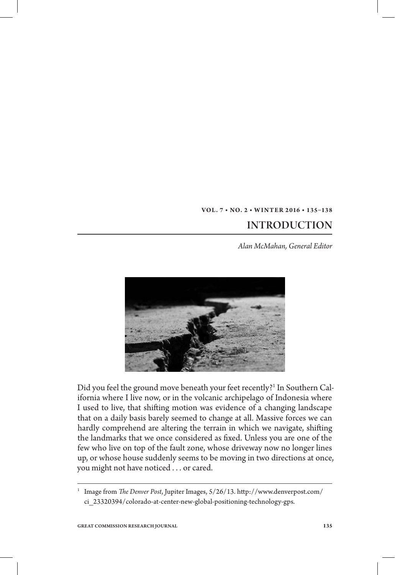## **VOL. 7 • NO. 2 • WINT ER 2 016 • 135–138**  INTRODUCTION

*Alan McMahan, General Editor*



Did you feel the ground move beneath your feet recently?<sup>1</sup> In Southern California where I live now, or in the volcanic archipelago of Indonesia where I used to live, that shifting motion was evidence of a changing landscape that on a daily basis barely seemed to change at all. Massive forces we can hardly comprehend are altering the terrain in which we navigate, shifting the landmarks that we once considered as fixed. Unless you are one of the few who live on top of the fault zone, whose driveway now no longer lines up, or whose house suddenly seems to be moving in two directions at once, you might not have noticed . . . or cared.

<sup>&</sup>lt;sup>1</sup> Image from *The Denver Post*, Jupiter Images, 5/26/13. http://www.denverpost.com/ ci\_23320394/colorado-at-center-new-global-positioning-technology-gps.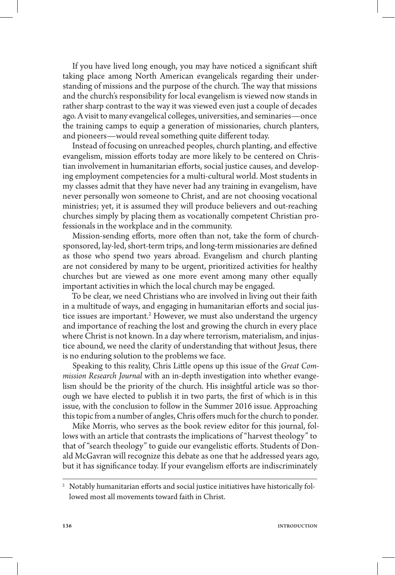If you have lived long enough, you may have noticed a significant shift taking place among North American evangelicals regarding their understanding of missions and the purpose of the church. The way that missions and the church's responsibility for local evangelism is viewed now stands in rather sharp contrast to the way it was viewed even just a couple of decades ago. A visit to many evangelical colleges, universities, and seminaries—once the training camps to equip a generation of missionaries, church planters, and pioneers—would reveal something quite different today.

Instead of focusing on unreached peoples, church planting, and effective evangelism, mission efforts today are more likely to be centered on Christian involvement in humanitarian efforts, social justice causes, and developing employment competencies for a multi-cultural world. Most students in my classes admit that they have never had any training in evangelism, have never personally won someone to Christ, and are not choosing vocational ministries; yet, it is assumed they will produce believers and out-reaching churches simply by placing them as vocationally competent Christian professionals in the workplace and in the community.

Mission-sending efforts, more often than not, take the form of churchsponsored, lay-led, short-term trips, and long-term missionaries are defined as those who spend two years abroad. Evangelism and church planting are not considered by many to be urgent, prioritized activities for healthy churches but are viewed as one more event among many other equally important activities in which the local church may be engaged.

To be clear, we need Christians who are involved in living out their faith in a multitude of ways, and engaging in humanitarian efforts and social justice issues are important.<sup>2</sup> However, we must also understand the urgency and importance of reaching the lost and growing the church in every place where Christ is not known. In a day where terrorism, materialism, and injustice abound, we need the clarity of understanding that without Jesus, there is no enduring solution to the problems we face.

Speaking to this reality, Chris Little opens up this issue of the *Great Commission Research Journal* with an in-depth investigation into whether evangelism should be the priority of the church. His insightful article was so thorough we have elected to publish it in two parts, the first of which is in this issue, with the conclusion to follow in the Summer 2016 issue. Approaching this topic from a number of angles, Chris offers much for the church to ponder.

Mike Morris, who serves as the book review editor for this journal, follows with an article that contrasts the implications of "harvest theology" to that of "search theology" to guide our evangelistic efforts. Students of Donald McGavran will recognize this debate as one that he addressed years ago, but it has significance today. If your evangelism efforts are indiscriminately

 $^2$  Notably humanitarian efforts and social justice initiatives have historically followed most all movements toward faith in Christ.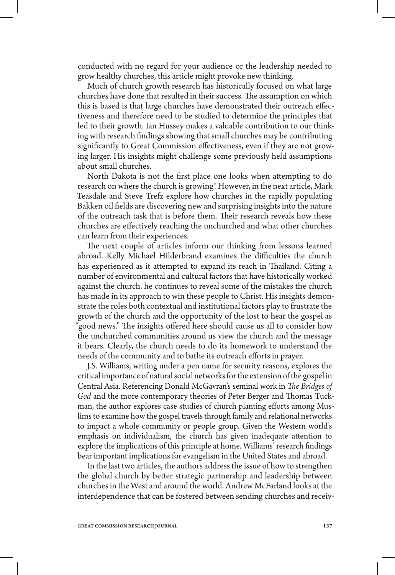conducted with no regard for your audience or the leadership needed to grow healthy churches, this article might provoke new thinking.

Much of church growth research has historically focused on what large churches have done that resulted in their success. The assumption on which this is based is that large churches have demonstrated their outreach effectiveness and therefore need to be studied to determine the principles that led to their growth. Ian Hussey makes a valuable contribution to our thinking with research findings showing that small churches may be contributing significantly to Great Commission effectiveness, even if they are not growing larger. His insights might challenge some previously held assumptions about small churches.

North Dakota is not the first place one looks when attempting to do research on where the church is growing! However, in the next article, Mark Teasdale and Steve Trefz explore how churches in the rapidly populating Bakken oil fields are discovering new and surprising insights into the nature of the outreach task that is before them. Their research reveals how these churches are effectively reaching the unchurched and what other churches can learn from their experiences.

The next couple of articles inform our thinking from lessons learned abroad. Kelly Michael Hilderbrand examines the difficulties the church has experienced as it attempted to expand its reach in Thailand. Citing a number of environmental and cultural factors that have historically worked against the church, he continues to reveal some of the mistakes the church has made in its approach to win these people to Christ. His insights demonstrate the roles both contextual and institutional factors play to frustrate the growth of the church and the opportunity of the lost to hear the gospel as 'good news." The insights offered here should cause us all to consider how the unchurched communities around us view the church and the message it bears. Clearly, the church needs to do its homework to understand the needs of the community and to bathe its outreach efforts in prayer.

J.S. Williams, writing under a pen name for security reasons, explores the critical importance of natural social networks for the extension of the gospel in Central Asia. Referencing Donald McGavran's seminal work in *The Bridges of* God and the more contemporary theories of Peter Berger and Thomas Tuckman, the author explores case studies of church planting efforts among Muslims to examine how the gospel travels through family and relational networks to impact a whole community or people group. Given the Western world's emphasis on individualism, the church has given inadequate attention to explore the implications of this principle at home. Williams' research findings bear important implications for evangelism in the United States and abroad.

In the last two articles, the authors address the issue of how to strengthen the global church by better strategic partnership and leadership between churches in the West and around the world. Andrew McFarland looks at the interdependence that can be fostered between sending churches and receiv